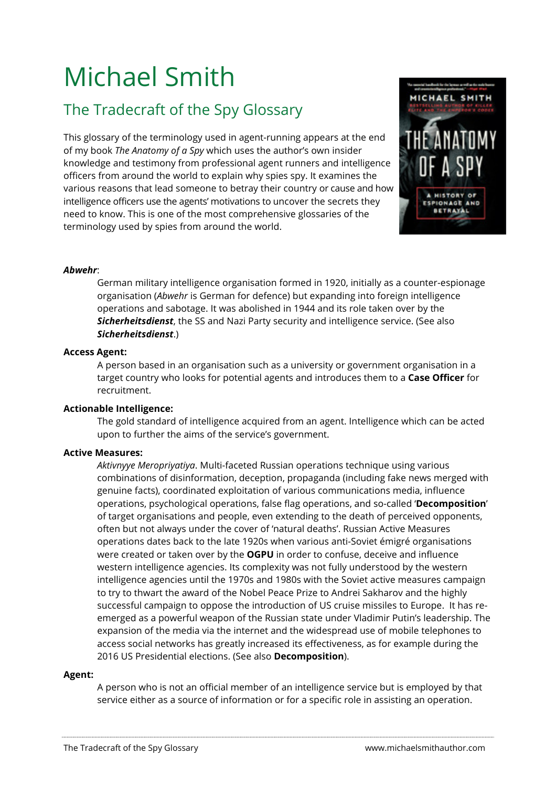# Michael Smith

## The Tradecraft of the Spy Glossary

This glossary of the terminology used in agent-running appears at the end of my book The Anatomy of a Spy which uses the author's own insider knowledge and testimony from professional agent runners and intelligence officers from around the world to explain why spies spy. It examines the various reasons that lead someone to betray their country or cause and how intelligence officers use the agents' motivations to uncover the secrets they need to know. This is one of the most comprehensive glossaries of the terminology used by spies from around the world.



## Abwehr:

German military intelligence organisation formed in 1920, initially as a counter-espionage organisation (Abwehr is German for defence) but expanding into foreign intelligence operations and sabotage. It was abolished in 1944 and its role taken over by the Sicherheitsdienst, the SS and Nazi Party security and intelligence service. (See also Sicherheitsdienst.)

## Access Agent:

A person based in an organisation such as a university or government organisation in a target country who looks for potential agents and introduces them to a Case Officer for recruitment.

## Actionable Intelligence:

The gold standard of intelligence acquired from an agent. Intelligence which can be acted upon to further the aims of the service's government.

## Active Measures:

Aktivnyye Meropriyatiya. Multi-faceted Russian operations technique using various combinations of disinformation, deception, propaganda (including fake news merged with genuine facts), coordinated exploitation of various communications media, influence operations, psychological operations, false flag operations, and so-called 'Decomposition' of target organisations and people, even extending to the death of perceived opponents, often but not always under the cover of 'natural deaths'. Russian Active Measures operations dates back to the late 1920s when various anti-Soviet émigré organisations were created or taken over by the **OGPU** in order to confuse, deceive and influence western intelligence agencies. Its complexity was not fully understood by the western intelligence agencies until the 1970s and 1980s with the Soviet active measures campaign to try to thwart the award of the Nobel Peace Prize to Andrei Sakharov and the highly successful campaign to oppose the introduction of US cruise missiles to Europe. It has reemerged as a powerful weapon of the Russian state under Vladimir Putin's leadership. The expansion of the media via the internet and the widespread use of mobile telephones to access social networks has greatly increased its effectiveness, as for example during the 2016 US Presidential elections. (See also Decomposition).

## Agent:

A person who is not an official member of an intelligence service but is employed by that service either as a source of information or for a specific role in assisting an operation.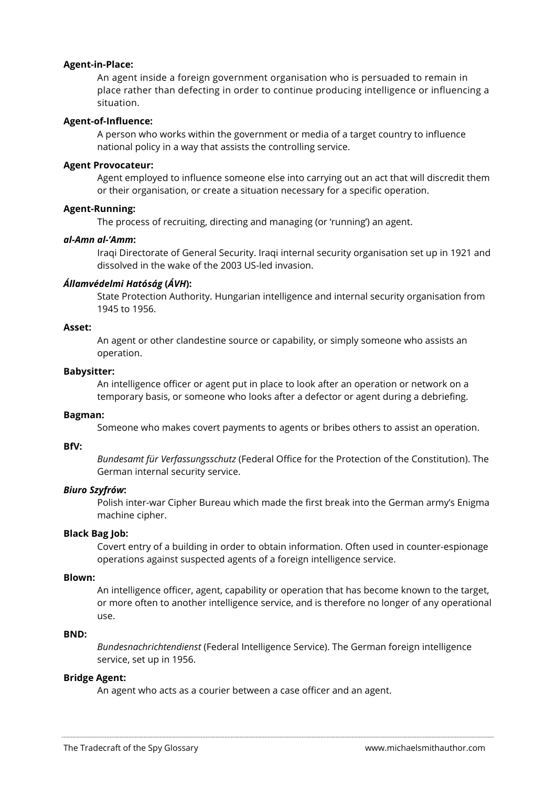## Agent-in-Place:

An agent inside a foreign government organisation who is persuaded to remain in place rather than defecting in order to continue producing intelligence or influencing a situation.

## Agent-of-Influence:

A person who works within the government or media of a target country to influence national policy in a way that assists the controlling service.

## Agent Provocateur:

Agent employed to influence someone else into carrying out an act that will discredit them or their organisation, or create a situation necessary for a specific operation.

## Agent-Running:

The process of recruiting, directing and managing (or 'running') an agent.

## al-Amn al-'Amm:

Iraqi Directorate of General Security. Iraqi internal security organisation set up in 1921 and dissolved in the wake of the 2003 US-led invasion.

## Államvédelmi Hatóság (ÁVH):

State Protection Authority. Hungarian intelligence and internal security organisation from 1945 to 1956.

## Asset:

An agent or other clandestine source or capability, or simply someone who assists an operation.

## Babysitter:

An intelligence officer or agent put in place to look after an operation or network on a temporary basis, or someone who looks after a defector or agent during a debriefing.

## Bagman:

Someone who makes covert payments to agents or bribes others to assist an operation.

## BfV:

Bundesamt für Verfassungsschutz (Federal Office for the Protection of the Constitution). The German internal security service.

## Biuro Szyfrów:

Polish inter-war Cipher Bureau which made the first break into the German army's Enigma machine cipher.

## Black Bag Job:

Covert entry of a building in order to obtain information. Often used in counter-espionage operations against suspected agents of a foreign intelligence service.

## Blown:

An intelligence officer, agent, capability or operation that has become known to the target, or more often to another intelligence service, and is therefore no longer of any operational use.

## BND:

Bundesnachrichtendienst (Federal Intelligence Service). The German foreign intelligence service, set up in 1956.

## Bridge Agent:

An agent who acts as a courier between a case officer and an agent.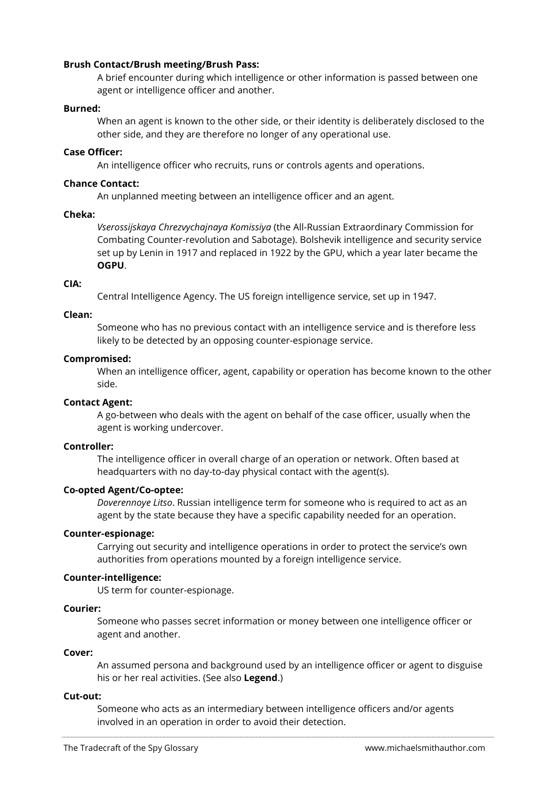## Brush Contact/Brush meeting/Brush Pass:

A brief encounter during which intelligence or other information is passed between one agent or intelligence officer and another.

## Burned:

When an agent is known to the other side, or their identity is deliberately disclosed to the other side, and they are therefore no longer of any operational use.

## Case Officer:

An intelligence officer who recruits, runs or controls agents and operations.

#### Chance Contact:

An unplanned meeting between an intelligence officer and an agent.

#### Cheka:

Vserossijskaya Chrezvychajnaya Komissiya (the All-Russian Extraordinary Commission for Combating Counter-revolution and Sabotage). Bolshevik intelligence and security service set up by Lenin in 1917 and replaced in 1922 by the GPU, which a year later became the OGPU.

## CIA:

Central Intelligence Agency. The US foreign intelligence service, set up in 1947.

#### Clean:

Someone who has no previous contact with an intelligence service and is therefore less likely to be detected by an opposing counter-espionage service.

#### Compromised:

When an intelligence officer, agent, capability or operation has become known to the other side.

#### Contact Agent:

A go-between who deals with the agent on behalf of the case officer, usually when the agent is working undercover.

## Controller:

The intelligence officer in overall charge of an operation or network. Often based at headquarters with no day-to-day physical contact with the agent(s).

#### Co-opted Agent/Co-optee:

Doverennoye Litso. Russian intelligence term for someone who is required to act as an agent by the state because they have a specific capability needed for an operation.

## Counter-espionage:

Carrying out security and intelligence operations in order to protect the service's own authorities from operations mounted by a foreign intelligence service.

## Counter-intelligence:

US term for counter-espionage.

#### Courier:

Someone who passes secret information or money between one intelligence officer or agent and another.

#### Cover:

An assumed persona and background used by an intelligence officer or agent to disguise his or her real activities. (See also Legend.)

#### Cut-out:

Someone who acts as an intermediary between intelligence officers and/or agents involved in an operation in order to avoid their detection.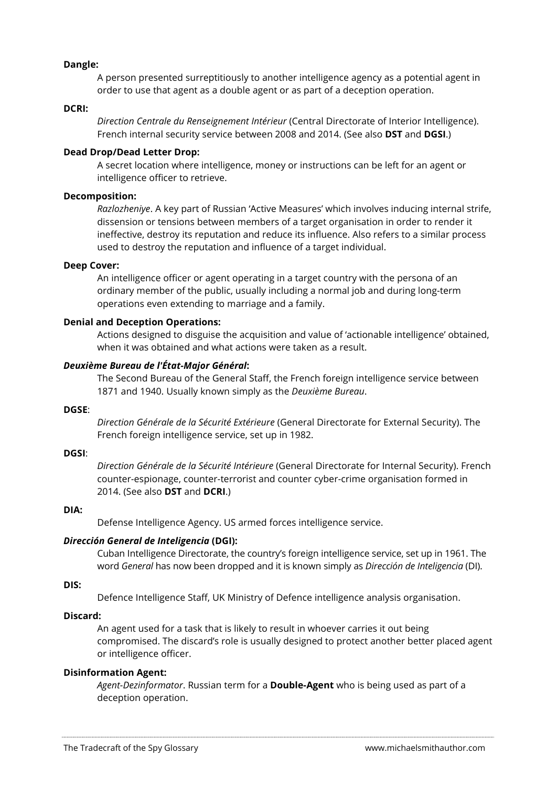## Dangle:

A person presented surreptitiously to another intelligence agency as a potential agent in order to use that agent as a double agent or as part of a deception operation.

## DCRI:

Direction Centrale du Renseignement Intérieur (Central Directorate of Interior Intelligence). French internal security service between 2008 and 2014. (See also DST and DGSI.)

## Dead Drop/Dead Letter Drop:

A secret location where intelligence, money or instructions can be left for an agent or intelligence officer to retrieve.

#### Decomposition:

Razlozheniye. A key part of Russian 'Active Measures' which involves inducing internal strife, dissension or tensions between members of a target organisation in order to render it ineffective, destroy its reputation and reduce its influence. Also refers to a similar process used to destroy the reputation and influence of a target individual.

#### Deep Cover:

An intelligence officer or agent operating in a target country with the persona of an ordinary member of the public, usually including a normal job and during long-term operations even extending to marriage and a family.

## Denial and Deception Operations:

Actions designed to disguise the acquisition and value of 'actionable intelligence' obtained, when it was obtained and what actions were taken as a result.

## Deuxième Bureau de l'État-Major Général:

The Second Bureau of the General Staff, the French foreign intelligence service between 1871 and 1940. Usually known simply as the Deuxième Bureau.

#### DGSE:

Direction Générale de la Sécurité Extérieure (General Directorate for External Security). The French foreign intelligence service, set up in 1982.

#### DGSI:

Direction Générale de la Sécurité Intérieure (General Directorate for Internal Security). French counter-espionage, counter-terrorist and counter cyber-crime organisation formed in 2014. (See also DST and DCRI.)

#### DIA:

Defense Intelligence Agency. US armed forces intelligence service.

## Dirección General de Inteligencia (DGI):

Cuban Intelligence Directorate, the country's foreign intelligence service, set up in 1961. The word General has now been dropped and it is known simply as Dirección de Inteligencia (DI).

#### DIS:

Defence Intelligence Staff, UK Ministry of Defence intelligence analysis organisation.

## Discard:

An agent used for a task that is likely to result in whoever carries it out being compromised. The discard's role is usually designed to protect another better placed agent or intelligence officer.

#### Disinformation Agent:

Agent-Dezinformator. Russian term for a **Double-Agent** who is being used as part of a deception operation.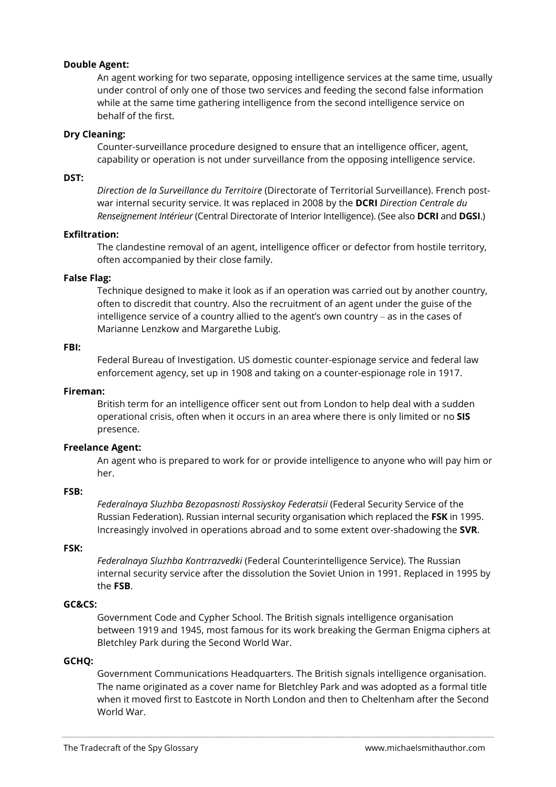## Double Agent:

An agent working for two separate, opposing intelligence services at the same time, usually under control of only one of those two services and feeding the second false information while at the same time gathering intelligence from the second intelligence service on behalf of the first.

## Dry Cleaning:

Counter-surveillance procedure designed to ensure that an intelligence officer, agent, capability or operation is not under surveillance from the opposing intelligence service.

## DST:

Direction de la Surveillance du Territoire (Directorate of Territorial Surveillance). French postwar internal security service. It was replaced in 2008 by the DCRI Direction Centrale du Renseignement Intérieur (Central Directorate of Interior Intelligence). (See also DCRI and DGSI.)

## Exfiltration:

The clandestine removal of an agent, intelligence officer or defector from hostile territory, often accompanied by their close family.

## False Flag:

Technique designed to make it look as if an operation was carried out by another country, often to discredit that country. Also the recruitment of an agent under the guise of the intelligence service of a country allied to the agent's own country  $-$  as in the cases of Marianne Lenzkow and Margarethe Lubig.

## FBI:

Federal Bureau of Investigation. US domestic counter-espionage service and federal law enforcement agency, set up in 1908 and taking on a counter-espionage role in 1917.

#### Fireman:

British term for an intelligence officer sent out from London to help deal with a sudden operational crisis, often when it occurs in an area where there is only limited or no SIS presence.

## Freelance Agent:

An agent who is prepared to work for or provide intelligence to anyone who will pay him or her.

## FSB:

Federalnaya Sluzhba Bezopasnosti Rossiyskoy Federatsii (Federal Security Service of the Russian Federation). Russian internal security organisation which replaced the FSK in 1995. Increasingly involved in operations abroad and to some extent over-shadowing the SVR.

## FSK:

Federalnaya Sluzhba Kontrrazvedki (Federal Counterintelligence Service). The Russian internal security service after the dissolution the Soviet Union in 1991. Replaced in 1995 by the FSB.

## GC&CS:

Government Code and Cypher School. The British signals intelligence organisation between 1919 and 1945, most famous for its work breaking the German Enigma ciphers at Bletchley Park during the Second World War.

## GCHQ:

Government Communications Headquarters. The British signals intelligence organisation. The name originated as a cover name for Bletchley Park and was adopted as a formal title when it moved first to Eastcote in North London and then to Cheltenham after the Second World War.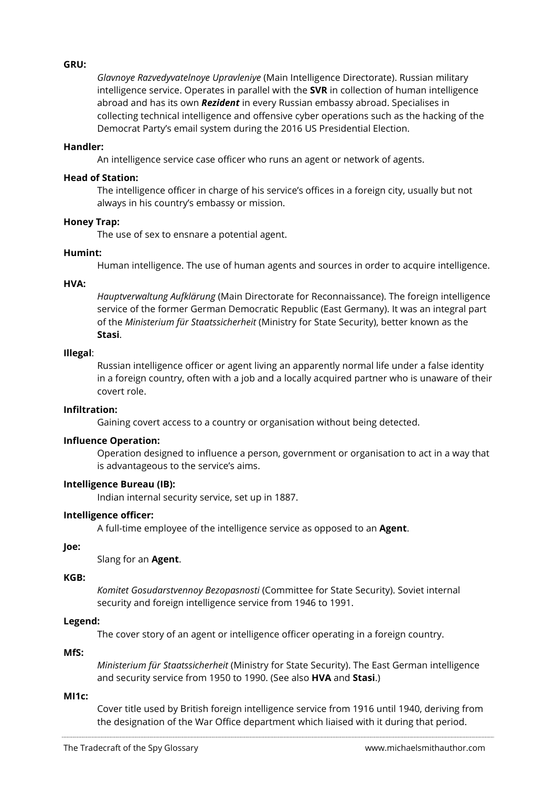## GRU:

Glavnoye Razvedyvatelnoye Upravleniye (Main Intelligence Directorate). Russian military intelligence service. Operates in parallel with the SVR in collection of human intelligence abroad and has its own **Rezident** in every Russian embassy abroad. Specialises in collecting technical intelligence and offensive cyber operations such as the hacking of the Democrat Party's email system during the 2016 US Presidential Election.

## Handler:

An intelligence service case officer who runs an agent or network of agents.

#### Head of Station:

The intelligence officer in charge of his service's offices in a foreign city, usually but not always in his country's embassy or mission.

#### Honey Trap:

The use of sex to ensnare a potential agent.

## Humint:

Human intelligence. The use of human agents and sources in order to acquire intelligence.

#### HVA:

Hauptverwaltung Aufklärung (Main Directorate for Reconnaissance). The foreign intelligence service of the former German Democratic Republic (East Germany). It was an integral part of the Ministerium für Staatssicherheit (Ministry for State Security), better known as the Stasi.

#### Illegal:

Russian intelligence officer or agent living an apparently normal life under a false identity in a foreign country, often with a job and a locally acquired partner who is unaware of their covert role.

## Infiltration:

Gaining covert access to a country or organisation without being detected.

## Influence Operation:

Operation designed to influence a person, government or organisation to act in a way that is advantageous to the service's aims.

#### Intelligence Bureau (IB):

Indian internal security service, set up in 1887.

## Intelligence officer:

A full-time employee of the intelligence service as opposed to an Agent.

## Joe:

## Slang for an **Agent**.

## KGB:

Komitet Gosudarstvennoy Bezopasnosti (Committee for State Security). Soviet internal security and foreign intelligence service from 1946 to 1991.

## Legend:

The cover story of an agent or intelligence officer operating in a foreign country.

## MfS:

Ministerium für Staatssicherheit (Ministry for State Security). The East German intelligence and security service from 1950 to 1990. (See also HVA and Stasi.)

#### MI<sub>1</sub>c:

Cover title used by British foreign intelligence service from 1916 until 1940, deriving from the designation of the War Office department which liaised with it during that period.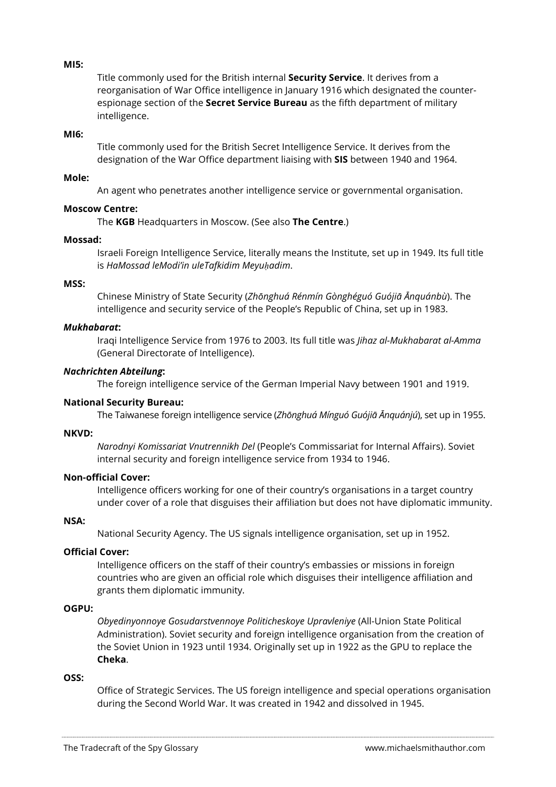## MI5:

Title commonly used for the British internal **Security Service**. It derives from a reorganisation of War Office intelligence in January 1916 which designated the counterespionage section of the Secret Service Bureau as the fifth department of military intelligence.

## MI6:

Title commonly used for the British Secret Intelligence Service. It derives from the designation of the War Office department liaising with SIS between 1940 and 1964.

## Mole:

An agent who penetrates another intelligence service or governmental organisation.

## Moscow Centre:

The KGB Headquarters in Moscow. (See also The Centre.)

## Mossad:

Israeli Foreign Intelligence Service, literally means the Institute, set up in 1949. Its full title is HaMossad leModi'in uleTafkidim Meyuhadim.

## MSS:

Chinese Ministry of State Security (Zhōnghuá Rénmín Gònghéguó Guójiā Ānquánbù). The intelligence and security service of the People's Republic of China, set up in 1983.

## Mukhabarat:

Iraqi Intelligence Service from 1976 to 2003. Its full title was Jihaz al-Mukhabarat al-Amma (General Directorate of Intelligence).

## Nachrichten Abteilung:

The foreign intelligence service of the German Imperial Navy between 1901 and 1919.

## National Security Bureau:

The Taiwanese foreign intelligence service (Zhōnghuá Mínguó Guójiā Ānquánjú), set up in 1955.

## NKVD:

Narodnyi Komissariat Vnutrennikh Del (People's Commissariat for Internal Affairs). Soviet internal security and foreign intelligence service from 1934 to 1946.

## Non-official Cover:

Intelligence officers working for one of their country's organisations in a target country under cover of a role that disguises their affiliation but does not have diplomatic immunity.

## NSA:

National Security Agency. The US signals intelligence organisation, set up in 1952.

## Official Cover:

Intelligence officers on the staff of their country's embassies or missions in foreign countries who are given an official role which disguises their intelligence affiliation and grants them diplomatic immunity.

## OGPU:

Obyedinyonnoye Gosudarstvennoye Politicheskoye Upravleniye (All-Union State Political Administration). Soviet security and foreign intelligence organisation from the creation of the Soviet Union in 1923 until 1934. Originally set up in 1922 as the GPU to replace the Cheka.

## OSS:

Office of Strategic Services. The US foreign intelligence and special operations organisation during the Second World War. It was created in 1942 and dissolved in 1945.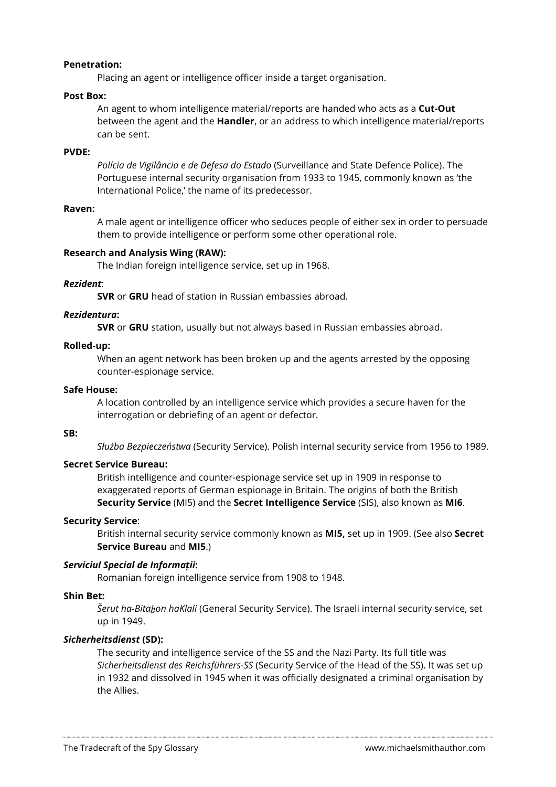## Penetration:

Placing an agent or intelligence officer inside a target organisation.

## Post Box:

An agent to whom intelligence material/reports are handed who acts as a **Cut-Out** between the agent and the **Handler**, or an address to which intelligence material/reports can be sent.

## PVDE:

Polícia de Vigilância e de Defesa do Estado (Surveillance and State Defence Police). The Portuguese internal security organisation from 1933 to 1945, commonly known as 'the International Police,' the name of its predecessor.

## Raven:

A male agent or intelligence officer who seduces people of either sex in order to persuade them to provide intelligence or perform some other operational role.

## Research and Analysis Wing (RAW):

The Indian foreign intelligence service, set up in 1968.

## Rezident:

SVR or GRU head of station in Russian embassies abroad.

## Rezidentura:

SVR or GRU station, usually but not always based in Russian embassies abroad.

## Rolled-up:

When an agent network has been broken up and the agents arrested by the opposing counter-espionage service.

## Safe House:

A location controlled by an intelligence service which provides a secure haven for the interrogation or debriefing of an agent or defector.

## SB:

Służba Bezpieczeństwa (Security Service). Polish internal security service from 1956 to 1989.

## Secret Service Bureau:

British intelligence and counter-espionage service set up in 1909 in response to exaggerated reports of German espionage in Britain. The origins of both the British Security Service (MI5) and the Secret Intelligence Service (SIS), also known as MI6.

## Security Service:

British internal security service commonly known as MI5, set up in 1909. (See also Secret Service Bureau and MI5.)

## Serviciul Special de Informaţii:

Romanian foreign intelligence service from 1908 to 1948.

## Shin Bet:

Šerut ha-Bitahon haKlali (General Security Service). The Israeli internal security service, set up in 1949.

## Sicherheitsdienst (SD):

The security and intelligence service of the SS and the Nazi Party. Its full title was Sicherheitsdienst des Reichsführers-SS (Security Service of the Head of the SS). It was set up in 1932 and dissolved in 1945 when it was officially designated a criminal organisation by the Allies.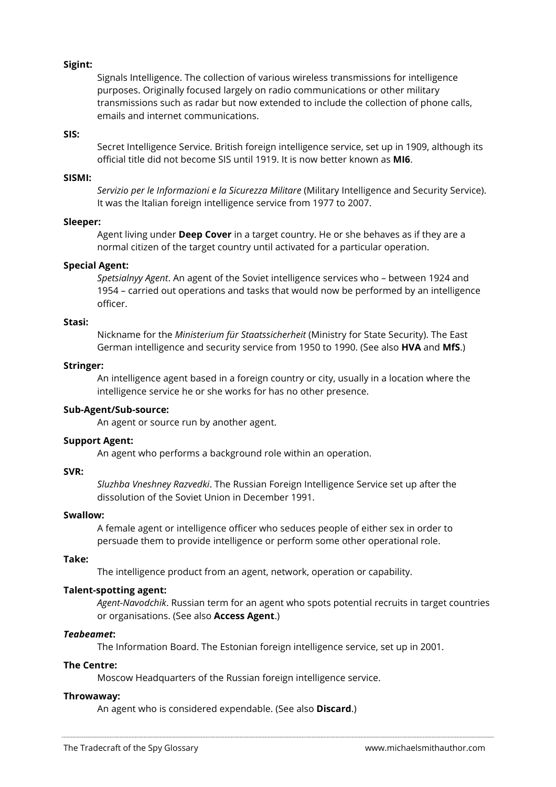## Sigint:

Signals Intelligence. The collection of various wireless transmissions for intelligence purposes. Originally focused largely on radio communications or other military transmissions such as radar but now extended to include the collection of phone calls, emails and internet communications.

#### SIS:

Secret Intelligence Service. British foreign intelligence service, set up in 1909, although its official title did not become SIS until 1919. It is now better known as MI6.

#### SISMI:

Servizio per le Informazioni e la Sicurezza Militare (Military Intelligence and Security Service). It was the Italian foreign intelligence service from 1977 to 2007.

#### Sleeper:

Agent living under Deep Cover in a target country. He or she behaves as if they are a normal citizen of the target country until activated for a particular operation.

#### Special Agent:

Spetsialnyy Agent. An agent of the Soviet intelligence services who – between 1924 and 1954 – carried out operations and tasks that would now be performed by an intelligence officer.

#### Stasi:

Nickname for the Ministerium für Staatssicherheit (Ministry for State Security). The East German intelligence and security service from 1950 to 1990. (See also HVA and MfS.)

#### Stringer:

An intelligence agent based in a foreign country or city, usually in a location where the intelligence service he or she works for has no other presence.

#### Sub-Agent/Sub-source:

An agent or source run by another agent.

#### Support Agent:

An agent who performs a background role within an operation.

#### SVR:

Sluzhba Vneshney Razvedki. The Russian Foreign Intelligence Service set up after the dissolution of the Soviet Union in December 1991.

#### Swallow:

A female agent or intelligence officer who seduces people of either sex in order to persuade them to provide intelligence or perform some other operational role.

#### Take:

The intelligence product from an agent, network, operation or capability.

## Talent-spotting agent:

Agent-Navodchik. Russian term for an agent who spots potential recruits in target countries or organisations. (See also **Access Agent**.)

## Teabeamet:

The Information Board. The Estonian foreign intelligence service, set up in 2001.

#### The Centre:

Moscow Headquarters of the Russian foreign intelligence service.

#### Throwaway:

An agent who is considered expendable. (See also **Discard**.)